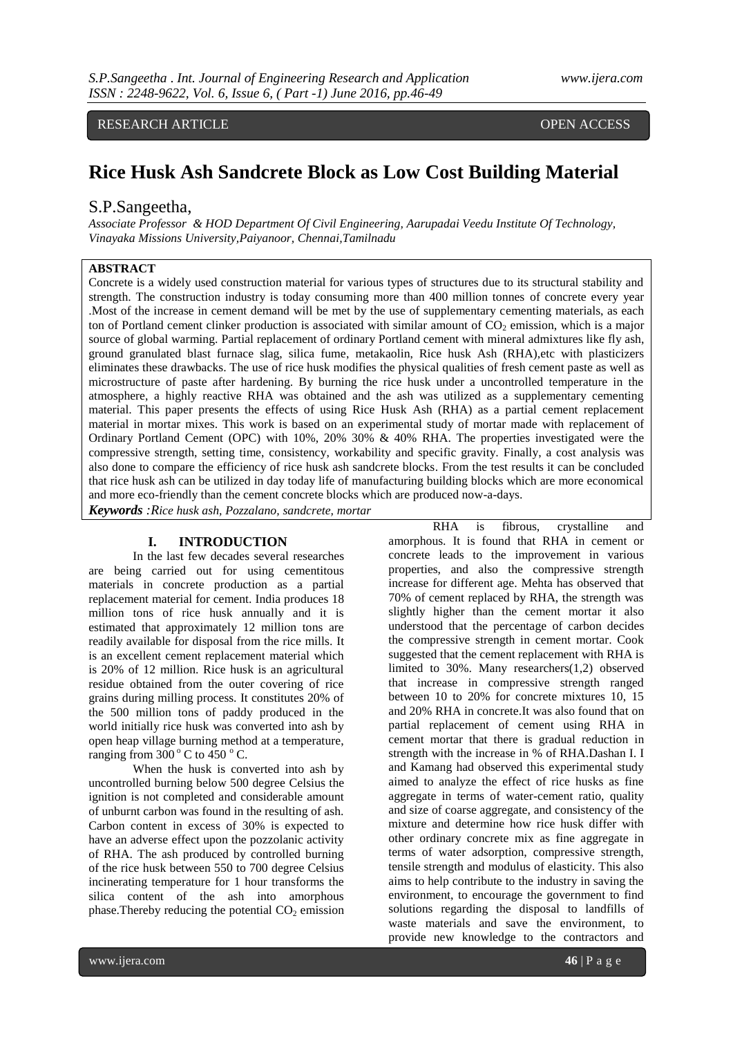RESEARCH ARTICLE **CONSERVERS** OPEN ACCESS

# **Rice Husk Ash Sandcrete Block as Low Cost Building Material**

# S.P.Sangeetha,

*Associate Professor & HOD Department Of Civil Engineering, Aarupadai Veedu Institute Of Technology, Vinayaka Missions University,Paiyanoor, Chennai,Tamilnadu*

## **ABSTRACT**

Concrete is a widely used construction material for various types of structures due to its structural stability and strength. The construction industry is today consuming more than 400 million tonnes of concrete every year .Most of the increase in cement demand will be met by the use of supplementary cementing materials, as each ton of Portland cement clinker production is associated with similar amount of  $CO<sub>2</sub>$  emission, which is a major source of global warming. Partial replacement of ordinary Portland cement with mineral admixtures like fly ash, ground granulated blast furnace slag, silica fume, metakaolin, Rice husk Ash (RHA),etc with plasticizers eliminates these drawbacks. The use of rice husk modifies the physical qualities of fresh cement paste as well as microstructure of paste after hardening. By burning the rice husk under a uncontrolled temperature in the atmosphere, a highly reactive RHA was obtained and the ash was utilized as a supplementary cementing material. This paper presents the effects of using Rice Husk Ash (RHA) as a partial cement replacement material in mortar mixes. This work is based on an experimental study of mortar made with replacement of Ordinary Portland Cement (OPC) with 10%, 20% 30% & 40% RHA. The properties investigated were the compressive strength, setting time, consistency, workability and specific gravity. Finally, a cost analysis was also done to compare the efficiency of rice husk ash sandcrete blocks. From the test results it can be concluded that rice husk ash can be utilized in day today life of manufacturing building blocks which are more economical and more eco-friendly than the cement concrete blocks which are produced now-a-days.

*Keywords :Rice husk ash, Pozzalano, sandcrete, mortar*

#### **I. INTRODUCTION**

In the last few decades several researches are being carried out for using cementitous materials in concrete production as a partial replacement material for cement. India produces 18 million tons of rice husk annually and it is estimated that approximately 12 million tons are readily available for disposal from the rice mills. It is an excellent cement replacement material which is 20% of 12 million. Rice husk is an agricultural residue obtained from the outer covering of rice grains during milling process. It constitutes 20% of the 500 million tons of paddy produced in the world initially rice husk was converted into ash by open heap village burning method at a temperature, ranging from  $300^{\circ}$  C to  $450^{\circ}$  C.

When the husk is converted into ash by uncontrolled burning below 500 degree Celsius the ignition is not completed and considerable amount of unburnt carbon was found in the resulting of ash. Carbon content in excess of 30% is expected to have an adverse effect upon the pozzolanic activity of RHA. The ash produced by controlled burning of the rice husk between 550 to 700 degree Celsius incinerating temperature for 1 hour transforms the silica content of the ash into amorphous phase. Thereby reducing the potential  $CO<sub>2</sub>$  emission

RHA is fibrous, crystalline and amorphous. It is found that RHA in cement or concrete leads to the improvement in various properties, and also the compressive strength increase for different age. Mehta has observed that 70% of cement replaced by RHA, the strength was slightly higher than the cement mortar it also understood that the percentage of carbon decides the compressive strength in cement mortar. Cook suggested that the cement replacement with RHA is limited to 30%. Many researchers(1,2) observed that increase in compressive strength ranged between 10 to 20% for concrete mixtures 10, 15 and 20% RHA in concrete.It was also found that on partial replacement of cement using RHA in cement mortar that there is gradual reduction in strength with the increase in % of RHA.Dashan I. I and Kamang had observed this experimental study aimed to analyze the effect of rice husks as fine aggregate in terms of water-cement ratio, quality and size of coarse aggregate, and consistency of the mixture and determine how rice husk differ with other ordinary concrete mix as fine aggregate in terms of water adsorption, compressive strength, tensile strength and modulus of elasticity. This also aims to help contribute to the industry in saving the environment, to encourage the government to find solutions regarding the disposal to landfills of waste materials and save the environment, to provide new knowledge to the contractors and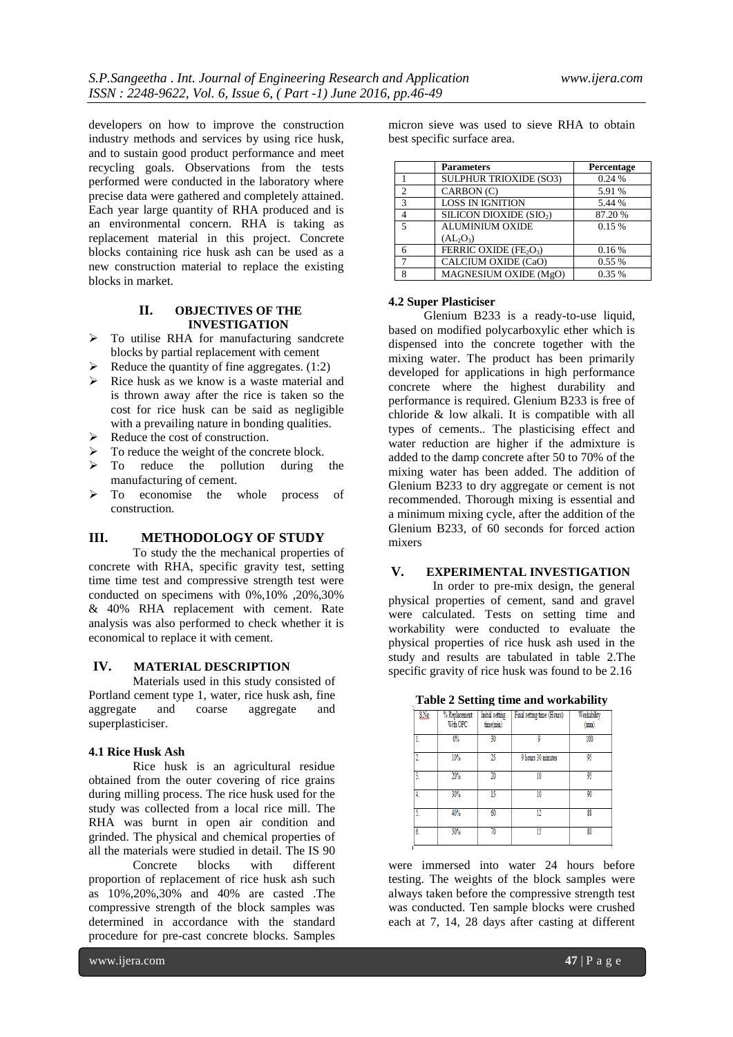developers on how to improve the construction industry methods and services by using rice husk, and to sustain good product performance and meet recycling goals. Observations from the tests performed were conducted in the laboratory where precise data were gathered and completely attained. Each year large quantity of RHA produced and is an environmental concern. RHA is taking as replacement material in this project. Concrete blocks containing rice husk ash can be used as a new construction material to replace the existing blocks in market.

#### **II. OBJECTIVES OF THE INVESTIGATION**

- $\triangleright$  To utilise RHA for manufacturing sandcrete blocks by partial replacement with cement
- $\blacktriangleright$  Reduce the quantity of fine aggregates. (1:2)
- $\triangleright$  Rice husk as we know is a waste material and is thrown away after the rice is taken so the cost for rice husk can be said as negligible with a prevailing nature in bonding qualities.
- $\triangleright$  Reduce the cost of construction.
- $\triangleright$  To reduce the weight of the concrete block.
- $\triangleright$  To reduce the pollution during the manufacturing of cement.
- $\triangleright$  To economise the whole process of construction.

## **III. METHODOLOGY OF STUDY**

To study the the mechanical properties of concrete with RHA, specific gravity test, setting time time test and compressive strength test were conducted on specimens with 0%,10% ,20%,30% & 40% RHA replacement with cement. Rate analysis was also performed to check whether it is economical to replace it with cement.

## **IV. MATERIAL DESCRIPTION**

Materials used in this study consisted of Portland cement type 1, water, rice husk ash, fine aggregate and coarse aggregate and superplasticiser.

#### **4.1 Rice Husk Ash**

Rice husk is an agricultural residue obtained from the outer covering of rice grains during milling process. The rice husk used for the study was collected from a local rice mill. The RHA was burnt in open air condition and grinded. The physical and chemical properties of all the materials were studied in detail. The IS 90 Concrete blocks with different proportion of replacement of rice husk ash such as 10%,20%,30% and 40% are casted .The compressive strength of the block samples was determined in accordance with the standard procedure for pre-cast concrete blocks. Samples

micron sieve was used to sieve RHA to obtain best specific surface area.

|                          | <b>Parameters</b>                              | Percentage |
|--------------------------|------------------------------------------------|------------|
|                          | <b>SULPHUR TRIOXIDE (SO3)</b>                  | 0.24%      |
| $\mathcal{D}$            | CARBON (C)                                     | 5.91 %     |
| $\mathcal{R}$            | <b>LOSS IN IGNITION</b>                        | 5.44 %     |
|                          | SILICON DIOXIDE (SIO2)                         | 87.20%     |
| $\overline{\phantom{0}}$ | <b>ALUMINIUM OXIDE</b>                         | 0.15%      |
|                          | $(AL_2O_3)$                                    |            |
|                          | FERRIC OXIDE (FE <sub>2</sub> O <sub>3</sub> ) | 0.16%      |
|                          | CALCIUM OXIDE (CaO)                            | 0.55%      |
| 8                        | MAGNESIUM OXIDE (MgO)                          | 0.35 %     |

## **4.2 Super Plasticiser**

Glenium B233 is a ready-to-use liquid, based on modified polycarboxylic ether which is dispensed into the concrete together with the mixing water. The product has been primarily developed for applications in high performance concrete where the highest durability and performance is required. Glenium B233 is free of chloride & low alkali. It is compatible with all types of cements.. The plasticising effect and water reduction are higher if the admixture is added to the damp concrete after 50 to 70% of the mixing water has been added. The addition of Glenium B233 to dry aggregate or cement is not recommended. Thorough mixing is essential and a minimum mixing cycle, after the addition of the Glenium B233, of 60 seconds for forced action mixers

# **V. EXPERIMENTAL INVESTIGATION**

In order to pre-mix design, the general physical properties of cement, sand and gravel were calculated. Tests on setting time and workability were conducted to evaluate the physical properties of rice husk ash used in the study and results are tabulated in table 2.The specific gravity of rice husk was found to be 2.16

| Table 2 Setting time and workability |  |  |  |  |  |  |
|--------------------------------------|--|--|--|--|--|--|
|--------------------------------------|--|--|--|--|--|--|

|     |                           | -                            |                            |                     |
|-----|---------------------------|------------------------------|----------------------------|---------------------|
| SNe | % Replacement<br>With OPC | Initial setting<br>time(min) | Final setting time (Hours) | Workability<br>(mm) |
|     | $0\%$                     | 30                           | Q                          | 100                 |
| 2.  | 10%                       | 25                           | 9 hours 30 minutes         | 95                  |
| 3.  | 20%                       | 20                           | 10                         | 95                  |
| 4.  | 30%                       | 15                           | 10                         | 90                  |
| Ī   | 40%                       | 60                           | 12                         | 88                  |
| 6.  | 50%                       | 70                           |                            | 80                  |

were immersed into water 24 hours before testing. The weights of the block samples were always taken before the compressive strength test was conducted. Ten sample blocks were crushed each at 7, 14, 28 days after casting at different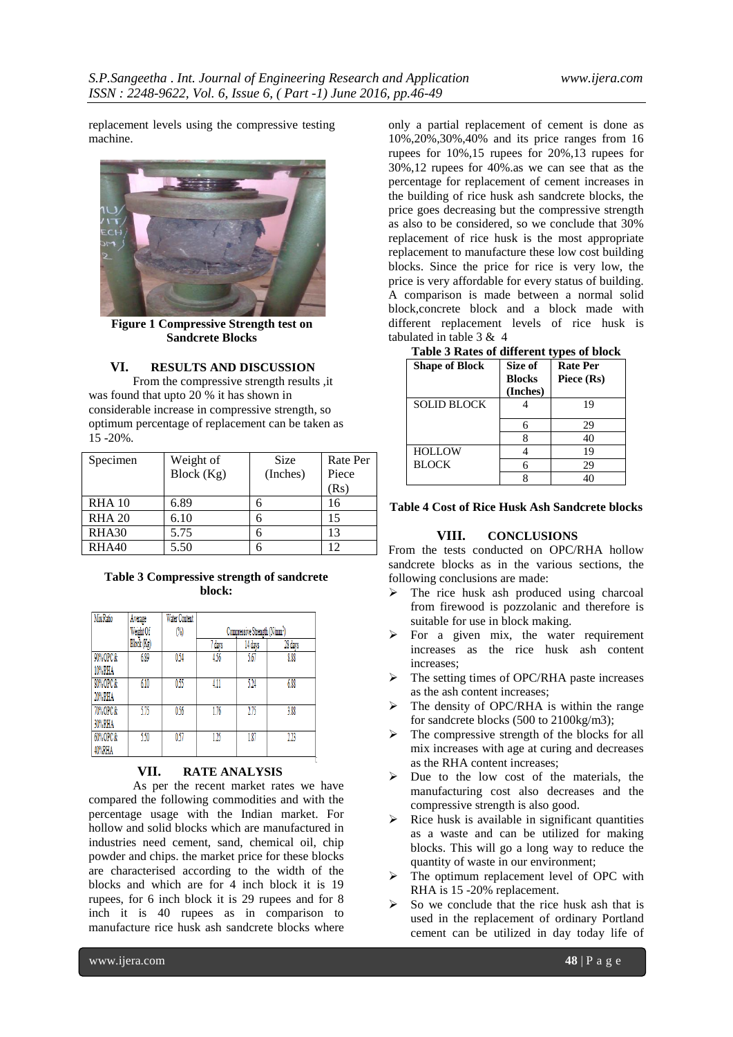replacement levels using the compressive testing machine.



**Figure 1 Compressive Strength test on Sandcrete Blocks**

## **VI. RESULTS AND DISCUSSION**

From the compressive strength results ,it was found that upto 20 % it has shown in considerable increase in compressive strength, so optimum percentage of replacement can be taken as 15 -20%.

| Specimen      | Weight of  | <b>Size</b> | Rate Per |
|---------------|------------|-------------|----------|
|               | Block (Kg) | (Inches)    | Piece    |
|               |            |             | (Rs)     |
| <b>RHA 10</b> | 6.89       |             | 16       |
| <b>RHA 20</b> | 6.10       |             | 15       |
| RHA30         | 5.75       |             | 13       |
| RHA40         | 5.50       |             | 12       |

#### **Table 3 Compressive strength of sandcrete block:**

| Mix Ratio | Average    | <b>Water Content</b> |                                           |         |         |
|-----------|------------|----------------------|-------------------------------------------|---------|---------|
|           | Weight Of  | $\binom{0}{0}$       | Compressive Strength (N/mm <sup>2</sup> ) |         |         |
|           | Block (Kg) |                      | days                                      | 14 days | 28 days |
| 90% OPC & | 6.89       | 0.54                 | 4.56                                      | 5.67    | 8.88    |
| 10% RHA   |            |                      |                                           |         |         |
| 80% OPC & | 6.10       | 0.55                 | 4.11                                      | 524     | 6.88    |
| 20% RHA   |            |                      |                                           |         |         |
| 70% OPC & | 5.75       | 0.56                 | 1.76                                      | 2.75    | 3.88    |
| 30% RHA   |            |                      |                                           |         |         |
| 60% OPC & | 5.50       | 0.57                 | 125                                       | 1.87    | 223     |
| 40%RHA    |            |                      |                                           |         |         |

## **VII. RATE ANALYSIS**

As per the recent market rates we have compared the following commodities and with the percentage usage with the Indian market. For hollow and solid blocks which are manufactured in industries need cement, sand, chemical oil, chip powder and chips. the market price for these blocks are characterised according to the width of the blocks and which are for 4 inch block it is 19 rupees, for 6 inch block it is 29 rupees and for 8 inch it is 40 rupees as in comparison to manufacture rice husk ash sandcrete blocks where

only a partial replacement of cement is done as 10%,20%,30%,40% and its price ranges from 16 rupees for 10%,15 rupees for 20%,13 rupees for 30%,12 rupees for 40%.as we can see that as the percentage for replacement of cement increases in the building of rice husk ash sandcrete blocks, the price goes decreasing but the compressive strength as also to be considered, so we conclude that 30% replacement of rice husk is the most appropriate replacement to manufacture these low cost building blocks. Since the price for rice is very low, the price is very affordable for every status of building. A comparison is made between a normal solid block,concrete block and a block made with different replacement levels of rice husk is tabulated in table 3 & 4

**Table 3 Rates of different types of block**

| Tuble of Kates of uniterent types of block |                                      |                               |  |  |
|--------------------------------------------|--------------------------------------|-------------------------------|--|--|
| <b>Shape of Block</b>                      | Size of<br><b>Blocks</b><br>(Inches) | <b>Rate Per</b><br>Piece (Rs) |  |  |
| <b>SOLID BLOCK</b>                         |                                      | 19                            |  |  |
|                                            | h                                    | 29                            |  |  |
|                                            |                                      | 40                            |  |  |
| <b>HOLLOW</b>                              |                                      | 19                            |  |  |
| <b>BLOCK</b>                               |                                      | 29                            |  |  |
|                                            |                                      |                               |  |  |

## **Table 4 Cost of Rice Husk Ash Sandcrete blocks**

#### **VIII. CONCLUSIONS**

From the tests conducted on OPC/RHA hollow sandcrete blocks as in the various sections, the following conclusions are made:

- The rice husk ash produced using charcoal from firewood is pozzolanic and therefore is suitable for use in block making.
- For a given mix, the water requirement increases as the rice husk ash content increases;
- $\triangleright$  The setting times of OPC/RHA paste increases as the ash content increases;
- $\triangleright$  The density of OPC/RHA is within the range for sandcrete blocks (500 to 2100kg/m3);
- $\triangleright$  The compressive strength of the blocks for all mix increases with age at curing and decreases as the RHA content increases;
- $\triangleright$  Due to the low cost of the materials, the manufacturing cost also decreases and the compressive strength is also good.
- Rice husk is available in significant quantities as a waste and can be utilized for making blocks. This will go a long way to reduce the quantity of waste in our environment;
- The optimum replacement level of OPC with RHA is 15 -20% replacement.
- So we conclude that the rice husk ash that is used in the replacement of ordinary Portland cement can be utilized in day today life of